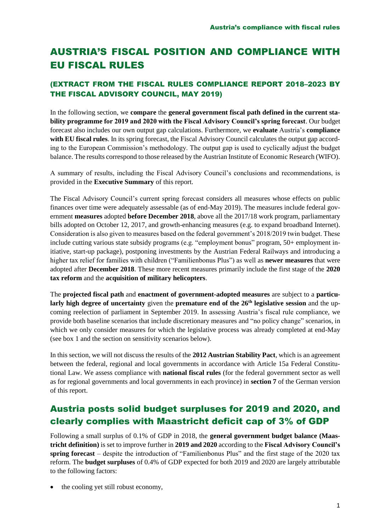# AUSTRIA'S FISCAL POSITION AND COMPLIANCE WITH EU FISCAL RULES

### (EXTRACT FROM THE FISCAL RULES COMPLIANCE REPORT 2018–2023 BY THE FISCAL ADVISORY COUNCIL, MAY 2019)

In the following section, we **compare** the **general government fiscal path defined in the current stability programme for 2019 and 2020 with the Fiscal Advisory Council's spring forecast**. Our budget forecast also includes our own output gap calculations. Furthermore, we **evaluate** Austria's **compliance with EU fiscal rules**. In its spring forecast, the Fiscal Advisory Council calculates the output gap according to the European Commission's methodology. The output gap is used to cyclically adjust the budget balance. The results correspond to those released by the Austrian Institute of Economic Research (WIFO).

A summary of results, including the Fiscal Advisory Council's conclusions and recommendations, is provided in the **Executive Summary** of this report.

The Fiscal Advisory Council's current spring forecast considers all measures whose effects on public finances over time were adequately assessable (as of end-May 2019). The measures include federal government **measures** adopted **before December 2018**, above all the 2017/18 work program, parliamentary bills adopted on October 12, 2017, and growth-enhancing measures (e.g. to expand broadband Internet). Consideration is also given to measures based on the federal government's 2018/2019 twin budget. These include cutting various state subsidy programs (e.g. "employment bonus" program, 50+ employment initiative, start-up package), postponing investments by the Austrian Federal Railways and introducing a higher tax relief for families with children ("Familienbonus Plus") as well as **newer measures** that were adopted after **December 2018**. These more recent measures primarily include the first stage of the **2020 tax reform** and the **acquisition of military helicopters**.

The **projected fiscal path** and **enactment of government-adopted measures** are subject to a **particu**larly high degree of uncertainty given the **premature end of the 26<sup>th</sup> legislative session** and the upcoming reelection of parliament in September 2019. In assessing Austria's fiscal rule compliance, we provide both baseline scenarios that include discretionary measures and "no policy change" scenarios, in which we only consider measures for which the legislative process was already completed at end-May (see box 1 and the section on sensitivity scenarios below).

In this section, we will not discuss the results of the **2012 Austrian Stability Pact**, which is an agreement between the federal, regional and local governments in accordance with Article 15a Federal Constitutional Law. We assess compliance with **national fiscal rules** (for the federal government sector as well as for regional governments and local governments in each province) in **section 7** of the German version of this report.

### Austria posts solid budget surpluses for 2019 and 2020, and clearly complies with Maastricht deficit cap of 3% of GDP

Following a small surplus of 0.1% of GDP in 2018, the **general government budget balance (Maastricht definition)** is set to improve further in **2019 and 2020** according to the **Fiscal Advisory Council's spring forecast** – despite the introduction of "Familienbonus Plus" and the first stage of the 2020 tax reform. The **budget surpluses** of 0.4% of GDP expected for both 2019 and 2020 are largely attributable to the following factors:

• the cooling yet still robust economy,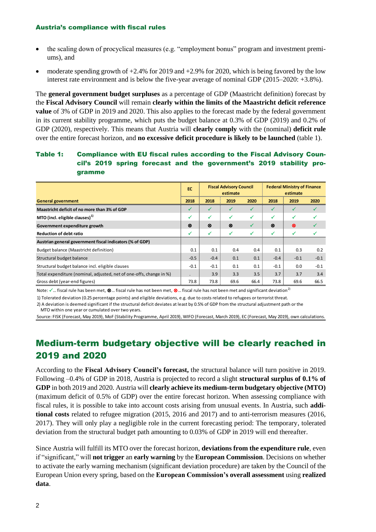#### Austria's compliance with fiscal rules

- the scaling down of procyclical measures (e.g. "employment bonus" program and investment premiums), and
- moderate spending growth of  $+2.4\%$  for 2019 and  $+2.9\%$  for 2020, which is being favored by the low interest rate environment and is below the five-year average of nominal GDP (2015–2020: +3.8%).

The **general government budget surpluses** as a percentage of GDP (Maastricht definition) forecast by the **Fiscal Advisory Council** will remain **clearly within the limits of the Maastricht deficit reference value** of 3% of GDP in 2019 and 2020. This also applies to the forecast made by the federal government in its current stability programme, which puts the budget balance at 0.3% of GDP (2019) and 0.2% of GDP (2020), respectively. This means that Austria will **clearly comply** with the (nominal) **deficit rule** over the entire forecast horizon, and **no excessive deficit procedure is likely to be launched** (table 1).

### Table 1: Compliance with EU fiscal rules according to the Fiscal Advisory Council's 2019 spring forecast and the government's 2019 stability programme

|                                                                     | EC     | <b>Fiscal Advisory Council</b><br>estimate |      |      | <b>Federal Ministry of Finance</b><br>estimate |        |        |
|---------------------------------------------------------------------|--------|--------------------------------------------|------|------|------------------------------------------------|--------|--------|
| <b>General government</b>                                           | 2018   | 2018                                       | 2019 | 2020 | 2018                                           | 2019   | 2020   |
| Maastricht deficit of no more than 3% of GDP                        | ✓      | $\checkmark$                               | ✓    | ✓    |                                                |        |        |
| MTO (incl. eligible clauses) $^{1}$                                 | ✓      | ✓                                          | ✓    | ✓    | ✓                                              | √      |        |
| Government expenditure growth                                       | ⊗      | ⊗                                          | ⊗    | ✓    | ⊗                                              | ⊗      |        |
| <b>Reduction of debt ratio</b>                                      | ✓      | √                                          | ✓    | ✓    |                                                | √      |        |
| Austrian general government fiscal indicators (% of GDP)            |        |                                            |      |      |                                                |        |        |
| Budget balance (Maastricht definition)                              | 0.1    | 0.1                                        | 0.4  | 0.4  | 0.1                                            | 0.3    | 0.2    |
| Structural budget balance                                           | $-0.5$ | $-0.4$                                     | 0.1  | 0.1  | $-0.4$                                         | $-0.1$ | $-0.1$ |
| Structural budget balance incl. eligible clauses                    | $-0.1$ | $-0.1$                                     | 0.1  | 0.1  | $-0.1$                                         | 0.0    | $-0.1$ |
| Total expenditure (nominal, adjusted, net of one-offs, change in %) |        | 3.9                                        | 3.3  | 3.5  | 3.7                                            | 3.7    | 3.4    |
| Gross debt (year-end figures)                                       | 73.8   | 73.8                                       | 69.6 | 66.4 | 73.8                                           | 69.6   | 66.5   |

Note:  $\checkmark$  … fiscal rule has been met,  $\mathcal{D}$  … fiscal rule has not been met,  $\mathcal{D}$  … fiscal rule has not been met and significant deviation<sup>2)</sup>

1) Tolerated deviation (0.25 percentage points) and eligible deviations, e.g. due to costs related to refugees or terrorist threat.

2) A deviation is deemed significant if the structural deficit deviates at least by 0.5% of GDP from the structural adjustment path or the MTO within one year or cumulated over two years.

Source: FISK (Forecast, May 2019), MoF (Stability Programme, April 2019), WIFO (Forecast, March 2019), EC (Forecast, May 2019), own calculations.

## Medium-term budgetary objective will be clearly reached in 2019 and 2020

According to the **Fiscal Advisory Council's forecast,** the structural balance will turn positive in 2019. Following –0.4% of GDP in 2018, Austria is projected to record a slight **structural surplus of 0.1% of GDP** in both 2019 and 2020. Austria will **clearly achieve its medium-term budgetary objective (MTO)**  (maximum deficit of 0.5% of GDP) over the entire forecast horizon. When assessing compliance with fiscal rules, it is possible to take into account costs arising from unusual events. In Austria, such **additional costs** related to refugee migration (2015, 2016 and 2017) and to anti-terrorism measures (2016, 2017). They will only play a negligible role in the current forecasting period: The temporary, tolerated deviation from the structural budget path amounting to 0.03% of GDP in 2019 will end thereafter.

Since Austria will fulfill its MTO over the forecast horizon, **deviations from the expenditure rule**, even if "significant," will **not trigger** an **early warning** by the **European Commission**. Decisions on whether to activate the early warning mechanism (significant deviation procedure) are taken by the Council of the European Union every spring, based on the **European Commission's overall assessment** using **realized data**.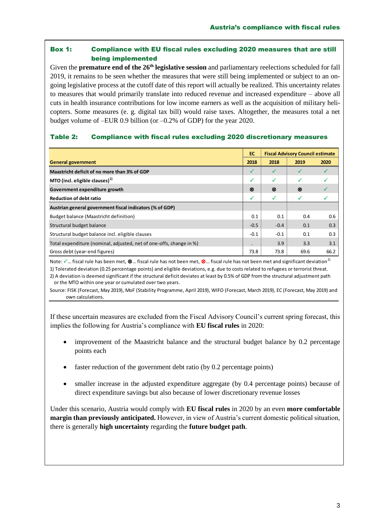### Box 1: Compliance with EU fiscal rules excluding 2020 measures that are still being implemented

Given the **premature end of the 26th legislative session** and parliamentary reelections scheduled for fall 2019, it remains to be seen whether the measures that were still being implemented or subject to an ongoing legislative process at the cutoff date of this report will actually be realized. This uncertainty relates to measures that would primarily translate into reduced revenue and increased expenditure – above all cuts in health insurance contributions for low income earners as well as the acquisition of military helicopters. Some measures (e. g. digital tax bill) would raise taxes. Altogether, the measures total a net budget volume of –EUR 0.9 billion (or –0.2% of GDP) for the year 2020.

#### Table 2: Compliance with fiscal rules excluding 2020 discretionary measures

|                                                                     | EC.<br><b>Fiscal Advisory Council estimate</b> |        |      |      |
|---------------------------------------------------------------------|------------------------------------------------|--------|------|------|
| <b>General government</b>                                           | 2018                                           | 2018   | 2019 | 2020 |
| Maastricht deficit of no more than 3% of GDP                        | ✓                                              | ✓      |      |      |
| MTO (incl. eligible clauses) $1$                                    | ✓                                              | ✓      | √    |      |
| Government expenditure growth                                       | ⊗                                              | ⊗      | ⊗    |      |
| <b>Reduction of debt ratio</b>                                      | ✓                                              | ✓      | ✓    |      |
| Austrian general government fiscal indicators (% of GDP)            |                                                |        |      |      |
| Budget balance (Maastricht definition)                              | 0.1                                            | 0.1    | 0.4  | 0.6  |
| Structural budget balance                                           | $-0.5$                                         | $-0.4$ | 0.1  | 0.3  |
| Structural budget balance incl. eligible clauses                    | $-0.1$                                         | $-0.1$ | 0.1  | 0.3  |
| Total expenditure (nominal, adjusted, net of one-offs, change in %) |                                                | 3.9    | 3.3  | 3.1  |
| Gross debt (year-end figures)                                       | 73.8                                           | 73.8   | 69.6 | 66.2 |

Note:  $\checkmark$  ... fiscal rule has been met,  $\otimes$  ... fiscal rule has not been met,  $\otimes$  ... fiscal rule has not been met and significant deviation<sup>2)</sup>

1) Tolerated deviation (0.25 percentage points) and eligible deviations, e.g. due to costs related to refugees or terrorist threat.

2) A deviation is deemed significant if the structural deficit deviates at least by 0.5% of GDP from the structural adjustment path or the MTO within one year or cumulated over two years.

Source: FISK (Forecast, May 2019), MoF (Stability Programme, April 2019), WIFO (Forecast, March 2019), EC (Forecast, May 2019) and own calculations.

If these uncertain measures are excluded from the Fiscal Advisory Council's current spring forecast, this implies the following for Austria's compliance with **EU fiscal rules** in 2020:

- improvement of the Maastricht balance and the structural budget balance by 0.2 percentage points each
- faster reduction of the government debt ratio (by 0.2 percentage points)
- smaller increase in the adjusted expenditure aggregate (by 0.4 percentage points) because of direct expenditure savings but also because of lower discretionary revenue losses

Under this scenario, Austria would comply with **EU fiscal rules** in 2020 by an even **more comfortable margin than previously anticipated.** However, in view of Austria's current domestic political situation, there is generally **high uncertainty** regarding the **future budget path**.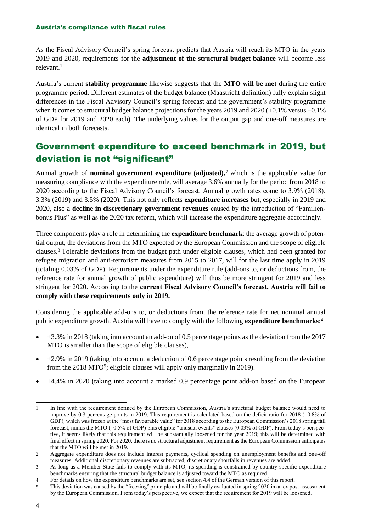#### Austria's compliance with fiscal rules

As the Fiscal Advisory Council's spring forecast predicts that Austria will reach its MTO in the years 2019 and 2020, requirements for the **adjustment of the structural budget balance** will become less relevant<sup>1</sup>

Austria's current **stability programme** likewise suggests that the **MTO will be met** during the entire programme period. Different estimates of the budget balance (Maastricht definition) fully explain slight differences in the Fiscal Advisory Council's spring forecast and the government's stability programme when it comes to structural budget balance projections for the years 2019 and 2020 (+0.1% versus -0.1%) of GDP for 2019 and 2020 each). The underlying values for the output gap and one-off measures are identical in both forecasts.

### Government expenditure to exceed benchmark in 2019, but deviation is not "significant"

Annual growth of **nominal government expenditure (adjusted)**, <sup>2</sup> which is the applicable value for measuring compliance with the expenditure rule, will average 3.6% annually for the period from 2018 to 2020 according to the Fiscal Advisory Council's forecast. Annual growth rates come to 3.9% (2018), 3.3% (2019) and 3.5% (2020). This not only reflects **expenditure increases** but, especially in 2019 and 2020, also a **decline in discretionary government revenues** caused by the introduction of "Familienbonus Plus" as well as the 2020 tax reform, which will increase the expenditure aggregate accordingly.

Three components play a role in determining the **expenditure benchmark**: the average growth of potential output, the deviations from the MTO expected by the European Commission and the scope of eligible clauses.<sup>3</sup> Tolerable deviations from the budget path under eligible clauses, which had been granted for refugee migration and anti-terrorism measures from 2015 to 2017, will for the last time apply in 2019 (totaling 0.03% of GDP). Requirements under the expenditure rule (add-ons to, or deductions from, the reference rate for annual growth of public expenditure) will thus be more stringent for 2019 and less stringent for 2020. According to the **current Fiscal Advisory Council's forecast, Austria will fail to comply with these requirements only in 2019.**

Considering the applicable add-ons to, or deductions from, the reference rate for net nominal annual public expenditure growth, Austria will have to comply with the following **expenditure benchmarks**: 4

- +3.3% in 2018 (taking into account an add-on of 0.5 percentage points as the deviation from the 2017 MTO is smaller than the scope of eligible clauses),
- $\bullet$  +2.9% in 2019 (taking into account a deduction of 0.6 percentage points resulting from the deviation from the 2018 MTO<sup>5</sup>; eligible clauses will apply only marginally in 2019).
- +4.4% in 2020 (taking into account a marked 0.9 percentage point add-on based on the European

<sup>1</sup> 1 In line with the requirement defined by the European Commission, Austria's structural budget balance would need to improve by 0.3 percentage points in 2019. This requirement is calculated based on the deficit ratio for 2018 (-0.8% of GDP), which was frozen at the "most favourable value" for 2018 according to the European Commission's 2018 spring/fall forecast, minus the MTO (–0.5% of GDP) plus eligible "unusual events" clauses (0.03% of GDP). From today's perspective, it seems likely that this requirement will be substantially loosened for the year 2019; this will be determined with final effect in spring 2020. For 2020, there is no structural adjustment requirement as the European Commission anticipates that the MTO will be met in 2019.

<sup>2</sup> Aggregate expenditure does not include interest payments, cyclical spending on unemployment benefits and one-off measures. Additional discretionary revenues are subtracted; discretionary shortfalls in revenues are added.

<sup>3</sup> As long as a Member State fails to comply with its MTO, its spending is constrained by country-specific expenditure benchmarks ensuring that the structural budget balance is adjusted toward the MTO as required.

<sup>4</sup> For details on how the expenditure benchmarks are set, see section 4.4 of the German version of this report.

<sup>5</sup> This deviation was caused by the "freezing" principle and will be finally evaluated in spring 2020 in an ex post assessment by the European Commission. From today's perspective, we expect that the requirement for 2019 will be loosened.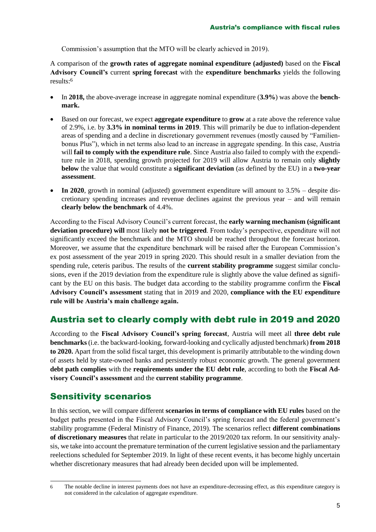Commission's assumption that the MTO will be clearly achieved in 2019).

A comparison of the **growth rates of aggregate nominal expenditure (adjusted)** based on the **Fiscal Advisory Council's** current **spring forecast** with the **expenditure benchmarks** yields the following results:<sup>6</sup>

- In **2018,** the above-average increase in aggregate nominal expenditure (**3.9%**) was above the **benchmark.**
- Based on our forecast, we expect **aggregate expenditure** to **grow** at a rate above the reference value of 2.9%, i.e. by **3.3% in nominal terms in 2019**. This will primarily be due to inflation-dependent areas of spending and a decline in discretionary government revenues (mostly caused by "Familienbonus Plus"), which in net terms also lead to an increase in aggregate spending. In this case, Austria will **fail to comply with the expenditure rule**. Since Austria also failed to comply with the expenditure rule in 2018, spending growth projected for 2019 will allow Austria to remain only **slightly below** the value that would constitute a **significant deviation** (as defined by the EU) in a **two-year assessment**.
- **In 2020**, growth in nominal (adjusted) government expenditure will amount to 3.5% despite discretionary spending increases and revenue declines against the previous year – and will remain **clearly below the benchmark** of 4.4%.

According to the Fiscal Advisory Council's current forecast, the **early warning mechanism (significant deviation procedure) will** most likely **not be triggered**. From today's perspective, expenditure will not significantly exceed the benchmark and the MTO should be reached throughout the forecast horizon. Moreover, we assume that the expenditure benchmark will be raised after the European Commission's ex post assessment of the year 2019 in spring 2020. This should result in a smaller deviation from the spending rule, ceteris paribus. The results of the **current stability programme** suggest similar conclusions, even if the 2019 deviation from the expenditure rule is slightly above the value defined as significant by the EU on this basis. The budget data according to the stability programme confirm the **Fiscal Advisory Council's assessment** stating that in 2019 and 2020, **compliance with the EU expenditure rule will be Austria's main challenge again.**

### Austria set to clearly comply with debt rule in 2019 and 2020

According to the **Fiscal Advisory Council's spring forecast**, Austria will meet all **three debt rule benchmarks** (i.e. the backward-looking, forward-looking and cyclically adjusted benchmark) **from 2018 to 2020.** Apart from the solid fiscal target, this development is primarily attributable to the winding down of assets held by state-owned banks and persistently robust economic growth. The general government **debt path complies** with the **requirements under the EU debt rule**, according to both the **Fiscal Advisory Council's assessment** and the **current stability programme**.

### Sensitivity scenarios

In this section, we will compare different **scenarios in terms of compliance with EU rules** based on the budget paths presented in the Fiscal Advisory Council's spring forecast and the federal government's stability programme (Federal Ministry of Finance, 2019). The scenarios reflect **different combinations of discretionary measures** that relate in particular to the 2019/2020 tax reform. In our sensitivity analysis, we take into account the premature termination of the current legislative session and the parliamentary reelections scheduled for September 2019. In light of these recent events, it has become highly uncertain whether discretionary measures that had already been decided upon will be implemented.

<sup>-</sup>6 The notable decline in interest payments does not have an expenditure-decreasing effect, as this expenditure category is not considered in the calculation of aggregate expenditure.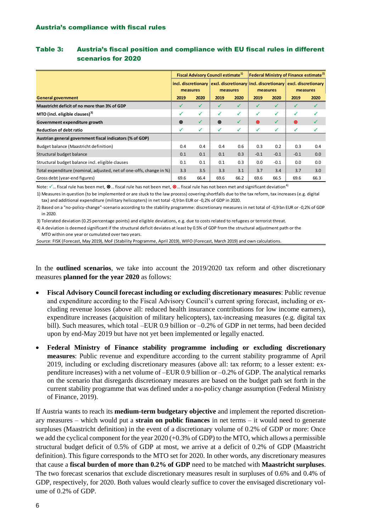|                                                                     | <b>Fiscal Advisory Council estimate<sup>1)</sup></b> |      |                                                                               |      | Federal Ministry of Finance estimate <sup>2)</sup> |           |                                 |      |
|---------------------------------------------------------------------|------------------------------------------------------|------|-------------------------------------------------------------------------------|------|----------------------------------------------------|-----------|---------------------------------|------|
|                                                                     | measures                                             |      | incl. discretionary   excl. discretionary   incl. discretionary  <br>measures |      | measures                                           |           | excl. discretionary<br>measures |      |
| <b>General government</b>                                           | 2019                                                 | 2020 | 2019                                                                          | 2020 | 2019                                               | 2020      | 2019                            | 2020 |
| Maastricht deficit of no more than 3% of GDP                        | ✓                                                    | ✓    | ✓                                                                             | ✓    | ✓                                                  | ✓         |                                 |      |
| MTO (incl. eligible clauses) <sup>3)</sup>                          | ✓                                                    | ✓    | ✓                                                                             | ✓    | ✓                                                  | ✓         |                                 |      |
| Government expenditure growth                                       | ⊗                                                    | ✓    | ⊗                                                                             | ✓    | ⊗                                                  | $\sqrt{}$ | ⊗                               |      |
| <b>Reduction of debt ratio</b>                                      | ✓                                                    | ✓    | ✓                                                                             | ✓    | ✓                                                  | ✓         | ✓                               |      |
| Austrian general government fiscal indicators (% of GDP)            |                                                      |      |                                                                               |      |                                                    |           |                                 |      |
| Budget balance (Maastricht definition)                              | 0.4                                                  | 0.4  | 0.4                                                                           | 0.6  | 0.3                                                | 0.2       | 0.3                             | 0.4  |
| Structural budget balance                                           | 0.1                                                  | 0.1  | 0.1                                                                           | 0.3  | $-0.1$                                             | $-0.1$    | $-0.1$                          | 0.0  |
| Structural budget balance incl. eligible clauses                    | 0.1                                                  | 0.1  | 0.1                                                                           | 0.3  | 0.0                                                | $-0.1$    | 0.0                             | 0.0  |
| Total expenditure (nominal, adjusted, net of one-offs, change in %) | 3.3                                                  | 3.5  | 3.3                                                                           | 3.1  | 3.7                                                | 3.4       | 3.7                             | 3.0  |
| Gross debt (year-end figures)                                       | 69.6                                                 | 66.4 | 69.6                                                                          | 66.2 | 69.6                                               | 66.5      | 69.6                            | 66.3 |

#### Table 3: Austria's fiscal position and compliance with EU fiscal rules in different scenarios for 2020

Note:  $\checkmark$  … fiscal rule has been met,  $\otimes$  … fiscal rule has not been met,  $\otimes$  … fiscal rule has not been met and significant deviation<sup>4)</sup>

 tax) and additional expenditure (military helicopters) in net total -0,9 bn EUR or -0,2% of GDP in 2020. 1) Measures in question (to be implemented or are stuck to the law process) covering shortfalls due to the tax reform, tax increases (e.g. digital

 in 2020. 2) Based on a "no-policy-change"-scenario according to the stability programme: discretionary measures in net total of -0,9 bn EUR or -0,2% of GDP

3) Tolerated deviation (0.25 percentage points) and eligible deviations, e.g. due to costs related to refugees or terrorist threat.

 MTO within one year or cumulated over two years. 4) A deviation is deemed significant if the structural deficit deviates at least by 0.5% of GDP from the structural adjustment path or the

Source: FISK (Forecast, May 2019), MoF (Stability Programme, April 2019), WIFO (Forecast, March 2019) and own calculations.

In the **outlined scenarios**, we take into account the 2019/2020 tax reform and other discretionary measures **planned for the year 2020** as follows:

- **Fiscal Advisory Council forecast including or excluding discretionary measures**: Public revenue and expenditure according to the Fiscal Advisory Council's current spring forecast, including or excluding revenue losses (above all: reduced health insurance contributions for low income earners), expenditure increases (acquisition of military helicopters), tax-increasing measures (e.g. digital tax bill). Such measures, which total –EUR 0.9 billion or –0.2% of GDP in net terms, had been decided upon by end-May 2019 but have not yet been implemented or legally enacted.
- **Federal Ministry of Finance stability programme including or excluding discretionary measures**: Public revenue and expenditure according to the current stability programme of April 2019, including or excluding discretionary measures (above all: tax reform; to a lesser extent: expenditure increases) with a net volume of –EUR 0.9 billion or –0.2% of GDP. The analytical remarks on the scenario that disregards discretionary measures are based on the budget path set forth in the current stability programme that was defined under a no-policy change assumption (Federal Ministry of Finance, 2019).

If Austria wants to reach its **medium-term budgetary objective** and implement the reported discretionary measures – which would put a **strain on public finances** in net terms – it would need to generate surpluses (Maastricht definition) in the event of a discretionary volume of 0.2% of GDP or more: Once we add the cyclical component for the year 2020 (+0.3% of GDP) to the MTO, which allows a permissible structural budget deficit of 0.5% of GDP at most, we arrive at a deficit of 0.2% of GDP (Maastricht definition). This figure corresponds to the MTO set for 2020. In other words, any discretionary measures that cause a **fiscal burden of more than 0.2% of GDP** need to be matched with **Maastricht surpluses**. The two forecast scenarios that exclude discretionary measures result in surpluses of 0.6% and 0.4% of GDP, respectively, for 2020. Both values would clearly suffice to cover the envisaged discretionary volume of 0.2% of GDP.